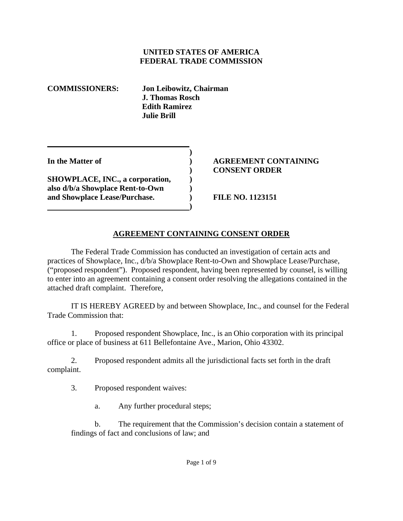### **UNITED STATES OF AMERICA FEDERAL TRADE COMMISSION**

**COMMISSIONERS: Jon Leibowitz, Chairman J. Thomas Rosch Edith Ramirez Julie Brill** 

**SHOWPLACE, INC., a corporation,**  $\qquad$ **) also d/b/a Showplace Rent-to-Own ) and Showplace Lease/Purchase. ) FILE NO. 1123151** 

 **)** 

**1 (a) (b) (b) (b) (b) (b) (c) (d)** 

### **In the Matter of ) AGREEMENT CONTAINING ) CONSENT ORDER**

## **AGREEMENT CONTAINING CONSENT ORDER**

The Federal Trade Commission has conducted an investigation of certain acts and practices of Showplace, Inc., d/b/a Showplace Rent-to-Own and Showplace Lease/Purchase, ("proposed respondent"). Proposed respondent, having been represented by counsel, is willing to enter into an agreement containing a consent order resolving the allegations contained in the attached draft complaint. Therefore,

 IT IS HEREBY AGREED by and between Showplace, Inc., and counsel for the Federal Trade Commission that:

1. Proposed respondent Showplace, Inc., is an Ohio corporation with its principal office or place of business at 611 Bellefontaine Ave., Marion, Ohio 43302.

2. Proposed respondent admits all the jurisdictional facts set forth in the draft complaint.

3. Proposed respondent waives:

a. Any further procedural steps;

b. The requirement that the Commission's decision contain a statement of findings of fact and conclusions of law; and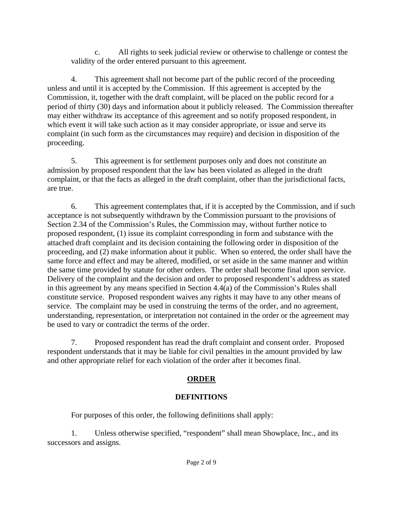c. All rights to seek judicial review or otherwise to challenge or contest the validity of the order entered pursuant to this agreement.

4. This agreement shall not become part of the public record of the proceeding unless and until it is accepted by the Commission. If this agreement is accepted by the Commission, it, together with the draft complaint, will be placed on the public record for a period of thirty (30) days and information about it publicly released. The Commission thereafter may either withdraw its acceptance of this agreement and so notify proposed respondent, in which event it will take such action as it may consider appropriate, or issue and serve its complaint (in such form as the circumstances may require) and decision in disposition of the proceeding.

5. This agreement is for settlement purposes only and does not constitute an admission by proposed respondent that the law has been violated as alleged in the draft complaint, or that the facts as alleged in the draft complaint, other than the jurisdictional facts, are true.

6. This agreement contemplates that, if it is accepted by the Commission, and if such acceptance is not subsequently withdrawn by the Commission pursuant to the provisions of Section 2.34 of the Commission's Rules, the Commission may, without further notice to proposed respondent, (1) issue its complaint corresponding in form and substance with the attached draft complaint and its decision containing the following order in disposition of the proceeding, and (2) make information about it public. When so entered, the order shall have the same force and effect and may be altered, modified, or set aside in the same manner and within the same time provided by statute for other orders. The order shall become final upon service. Delivery of the complaint and the decision and order to proposed respondent's address as stated in this agreement by any means specified in Section 4.4(a) of the Commission's Rules shall constitute service. Proposed respondent waives any rights it may have to any other means of service. The complaint may be used in construing the terms of the order, and no agreement, understanding, representation, or interpretation not contained in the order or the agreement may be used to vary or contradict the terms of the order.

7. Proposed respondent has read the draft complaint and consent order. Proposed respondent understands that it may be liable for civil penalties in the amount provided by law and other appropriate relief for each violation of the order after it becomes final.

# **ORDER**

# **DEFINITIONS**

For purposes of this order, the following definitions shall apply:

1. Unless otherwise specified, "respondent" shall mean Showplace, Inc., and its successors and assigns.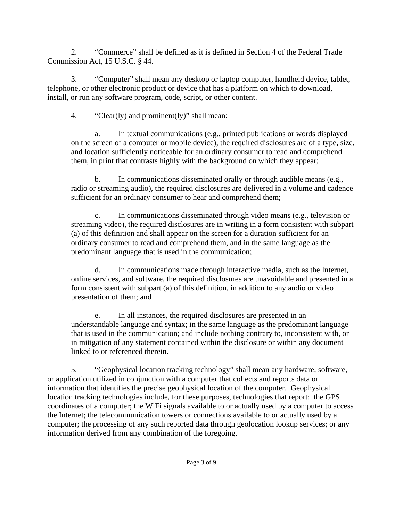2. "Commerce" shall be defined as it is defined in Section 4 of the Federal Trade Commission Act, 15 U.S.C. § 44.

3. "Computer" shall mean any desktop or laptop computer, handheld device, tablet, telephone, or other electronic product or device that has a platform on which to download, install, or run any software program, code, script, or other content.

4. "Clear(ly) and prominent(ly)" shall mean:

a. In textual communications (e.g., printed publications or words displayed on the screen of a computer or mobile device), the required disclosures are of a type, size, and location sufficiently noticeable for an ordinary consumer to read and comprehend them, in print that contrasts highly with the background on which they appear;

b. In communications disseminated orally or through audible means (e.g., radio or streaming audio), the required disclosures are delivered in a volume and cadence sufficient for an ordinary consumer to hear and comprehend them;

c. In communications disseminated through video means (e.g., television or streaming video), the required disclosures are in writing in a form consistent with subpart (a) of this definition and shall appear on the screen for a duration sufficient for an ordinary consumer to read and comprehend them, and in the same language as the predominant language that is used in the communication;

d. In communications made through interactive media, such as the Internet, online services, and software, the required disclosures are unavoidable and presented in a form consistent with subpart (a) of this definition, in addition to any audio or video presentation of them; and

e. In all instances, the required disclosures are presented in an understandable language and syntax; in the same language as the predominant language that is used in the communication; and include nothing contrary to, inconsistent with, or in mitigation of any statement contained within the disclosure or within any document linked to or referenced therein.

5. "Geophysical location tracking technology" shall mean any hardware, software, or application utilized in conjunction with a computer that collects and reports data or information that identifies the precise geophysical location of the computer. Geophysical location tracking technologies include, for these purposes, technologies that report: the GPS coordinates of a computer; the WiFi signals available to or actually used by a computer to access the Internet; the telecommunication towers or connections available to or actually used by a computer; the processing of any such reported data through geolocation lookup services; or any information derived from any combination of the foregoing.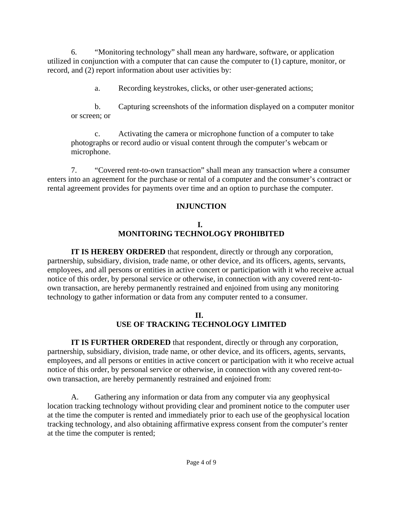6. "Monitoring technology" shall mean any hardware, software, or application utilized in conjunction with a computer that can cause the computer to (1) capture, monitor, or record, and (2) report information about user activities by:

a. Recording keystrokes, clicks, or other user-generated actions;

b. Capturing screenshots of the information displayed on a computer monitor or screen; or

c. Activating the camera or microphone function of a computer to take photographs or record audio or visual content through the computer's webcam or microphone.

7. "Covered rent-to-own transaction" shall mean any transaction where a consumer enters into an agreement for the purchase or rental of a computer and the consumer's contract or rental agreement provides for payments over time and an option to purchase the computer.

# **INJUNCTION**

# **I. MONITORING TECHNOLOGY PROHIBITED**

**IT IS HEREBY ORDERED** that respondent, directly or through any corporation, partnership, subsidiary, division, trade name, or other device, and its officers, agents, servants, employees, and all persons or entities in active concert or participation with it who receive actual notice of this order, by personal service or otherwise, in connection with any covered rent-toown transaction, are hereby permanently restrained and enjoined from using any monitoring technology to gather information or data from any computer rented to a consumer.

## **II. USE OF TRACKING TECHNOLOGY LIMITED**

**IT IS FURTHER ORDERED** that respondent, directly or through any corporation, partnership, subsidiary, division, trade name, or other device, and its officers, agents, servants, employees, and all persons or entities in active concert or participation with it who receive actual notice of this order, by personal service or otherwise, in connection with any covered rent-toown transaction, are hereby permanently restrained and enjoined from:

A. Gathering any information or data from any computer via any geophysical location tracking technology without providing clear and prominent notice to the computer user at the time the computer is rented and immediately prior to each use of the geophysical location tracking technology, and also obtaining affirmative express consent from the computer's renter at the time the computer is rented;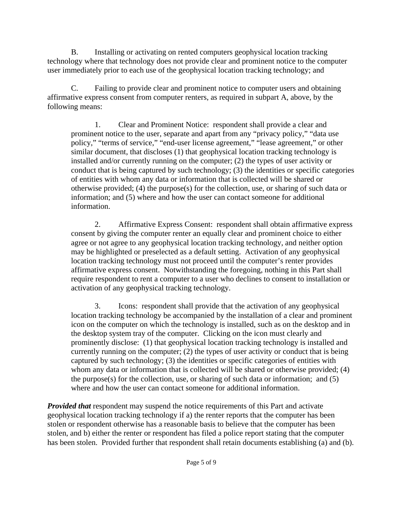B. Installing or activating on rented computers geophysical location tracking technology where that technology does not provide clear and prominent notice to the computer user immediately prior to each use of the geophysical location tracking technology; and

C. Failing to provide clear and prominent notice to computer users and obtaining affirmative express consent from computer renters, as required in subpart A, above, by the following means:

1. Clear and Prominent Notice: respondent shall provide a clear and prominent notice to the user, separate and apart from any "privacy policy," "data use policy," "terms of service," "end-user license agreement," "lease agreement," or other similar document, that discloses (1) that geophysical location tracking technology is installed and/or currently running on the computer; (2) the types of user activity or conduct that is being captured by such technology; (3) the identities or specific categories of entities with whom any data or information that is collected will be shared or otherwise provided; (4) the purpose(s) for the collection, use, or sharing of such data or information; and (5) where and how the user can contact someone for additional information.

2. Affirmative Express Consent: respondent shall obtain affirmative express consent by giving the computer renter an equally clear and prominent choice to either agree or not agree to any geophysical location tracking technology, and neither option may be highlighted or preselected as a default setting. Activation of any geophysical location tracking technology must not proceed until the computer's renter provides affirmative express consent. Notwithstanding the foregoing, nothing in this Part shall require respondent to rent a computer to a user who declines to consent to installation or activation of any geophysical tracking technology.

3. Icons: respondent shall provide that the activation of any geophysical location tracking technology be accompanied by the installation of a clear and prominent icon on the computer on which the technology is installed, such as on the desktop and in the desktop system tray of the computer. Clicking on the icon must clearly and prominently disclose: (1) that geophysical location tracking technology is installed and currently running on the computer; (2) the types of user activity or conduct that is being captured by such technology; (3) the identities or specific categories of entities with whom any data or information that is collected will be shared or otherwise provided; (4) the purpose(s) for the collection, use, or sharing of such data or information; and (5) where and how the user can contact someone for additional information.

*Provided that* respondent may suspend the notice requirements of this Part and activate geophysical location tracking technology if a) the renter reports that the computer has been stolen or respondent otherwise has a reasonable basis to believe that the computer has been stolen, and b) either the renter or respondent has filed a police report stating that the computer has been stolen. Provided further that respondent shall retain documents establishing (a) and (b).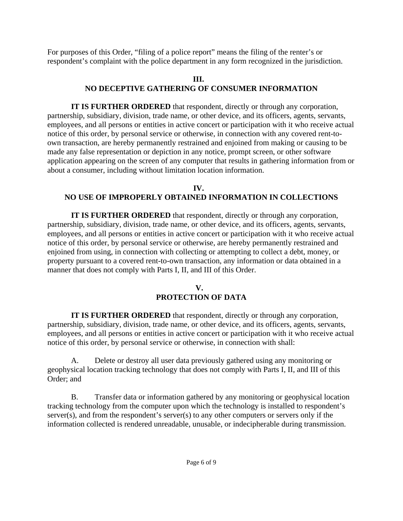For purposes of this Order, "filing of a police report" means the filing of the renter's or respondent's complaint with the police department in any form recognized in the jurisdiction.

## **III. NO DECEPTIVE GATHERING OF CONSUMER INFORMATION**

**IT IS FURTHER ORDERED** that respondent, directly or through any corporation, partnership, subsidiary, division, trade name, or other device, and its officers, agents, servants, employees, and all persons or entities in active concert or participation with it who receive actual notice of this order, by personal service or otherwise, in connection with any covered rent-toown transaction, are hereby permanently restrained and enjoined from making or causing to be made any false representation or depiction in any notice, prompt screen, or other software application appearing on the screen of any computer that results in gathering information from or about a consumer, including without limitation location information.

### **IV. NO USE OF IMPROPERLY OBTAINED INFORMATION IN COLLECTIONS**

**IT IS FURTHER ORDERED** that respondent, directly or through any corporation, partnership, subsidiary, division, trade name, or other device, and its officers, agents, servants, employees, and all persons or entities in active concert or participation with it who receive actual notice of this order, by personal service or otherwise, are hereby permanently restrained and enjoined from using, in connection with collecting or attempting to collect a debt, money, or property pursuant to a covered rent-to-own transaction, any information or data obtained in a manner that does not comply with Parts I, II, and III of this Order.

## **V. PROTECTION OF DATA**

**IT IS FURTHER ORDERED** that respondent, directly or through any corporation, partnership, subsidiary, division, trade name, or other device, and its officers, agents, servants, employees, and all persons or entities in active concert or participation with it who receive actual notice of this order, by personal service or otherwise, in connection with shall:

A. Delete or destroy all user data previously gathered using any monitoring or geophysical location tracking technology that does not comply with Parts I, II, and III of this Order; and

B. Transfer data or information gathered by any monitoring or geophysical location tracking technology from the computer upon which the technology is installed to respondent's server(s), and from the respondent's server(s) to any other computers or servers only if the information collected is rendered unreadable, unusable, or indecipherable during transmission.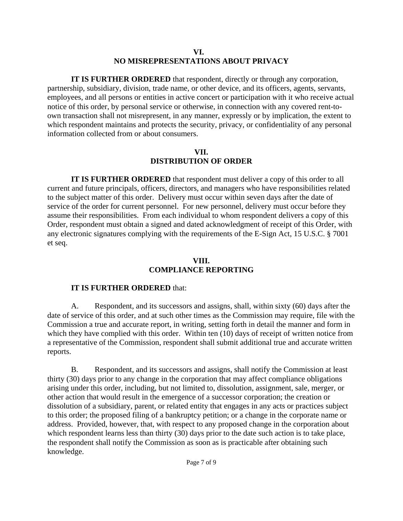### **VI. NO MISREPRESENTATIONS ABOUT PRIVACY**

**IT IS FURTHER ORDERED** that respondent, directly or through any corporation, partnership, subsidiary, division, trade name, or other device, and its officers, agents, servants, employees, and all persons or entities in active concert or participation with it who receive actual notice of this order, by personal service or otherwise, in connection with any covered rent-toown transaction shall not misrepresent, in any manner, expressly or by implication, the extent to which respondent maintains and protects the security, privacy, or confidentiality of any personal information collected from or about consumers.

### **VII. DISTRIBUTION OF ORDER**

**IT IS FURTHER ORDERED** that respondent must deliver a copy of this order to all current and future principals, officers, directors, and managers who have responsibilities related to the subject matter of this order. Delivery must occur within seven days after the date of service of the order for current personnel. For new personnel, delivery must occur before they assume their responsibilities. From each individual to whom respondent delivers a copy of this Order, respondent must obtain a signed and dated acknowledgment of receipt of this Order, with any electronic signatures complying with the requirements of the E-Sign Act, 15 U.S.C. § 7001 et seq.

### **VIII. COMPLIANCE REPORTING**

## **IT IS FURTHER ORDERED** that:

A. Respondent, and its successors and assigns, shall, within sixty (60) days after the date of service of this order, and at such other times as the Commission may require, file with the Commission a true and accurate report, in writing, setting forth in detail the manner and form in which they have complied with this order. Within ten (10) days of receipt of written notice from a representative of the Commission, respondent shall submit additional true and accurate written reports.

B. Respondent, and its successors and assigns, shall notify the Commission at least thirty (30) days prior to any change in the corporation that may affect compliance obligations arising under this order, including, but not limited to, dissolution, assignment, sale, merger, or other action that would result in the emergence of a successor corporation; the creation or dissolution of a subsidiary, parent, or related entity that engages in any acts or practices subject to this order; the proposed filing of a bankruptcy petition; or a change in the corporate name or address. Provided, however, that, with respect to any proposed change in the corporation about which respondent learns less than thirty (30) days prior to the date such action is to take place, the respondent shall notify the Commission as soon as is practicable after obtaining such knowledge.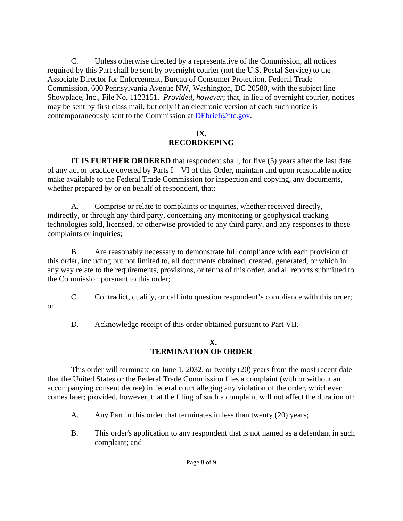C. Unless otherwise directed by a representative of the Commission, all notices required by this Part shall be sent by overnight courier (not the U.S. Postal Service) to the Associate Director for Enforcement, Bureau of Consumer Protection, Federal Trade Commission, 600 Pennsylvania Avenue NW, Washington, DC 20580, with the subject line Showplace, Inc., File No. 1123151. *Provided, however*; that, in lieu of overnight courier, notices may be sent by first class mail, but only if an electronic version of each such notice is contemporaneously sent to the Commission at DEbrief@ftc.gov.

## **IX. RECORDKEPING**

**IT IS FURTHER ORDERED** that respondent shall, for five (5) years after the last date of any act or practice covered by Parts I – VI of this Order, maintain and upon reasonable notice make available to the Federal Trade Commission for inspection and copying, any documents, whether prepared by or on behalf of respondent, that:

A. Comprise or relate to complaints or inquiries, whether received directly, indirectly, or through any third party, concerning any monitoring or geophysical tracking technologies sold, licensed, or otherwise provided to any third party, and any responses to those complaints or inquiries;

B. Are reasonably necessary to demonstrate full compliance with each provision of this order, including but not limited to, all documents obtained, created, generated, or which in any way relate to the requirements, provisions, or terms of this order, and all reports submitted to the Commission pursuant to this order;

- C. Contradict, qualify, or call into question respondent's compliance with this order;
	- D. Acknowledge receipt of this order obtained pursuant to Part VII.

or

### **X. TERMINATION OF ORDER**

This order will terminate on June 1, 2032, or twenty (20) years from the most recent date that the United States or the Federal Trade Commission files a complaint (with or without an accompanying consent decree) in federal court alleging any violation of the order, whichever comes later; provided, however, that the filing of such a complaint will not affect the duration of:

- A. Any Part in this order that terminates in less than twenty (20) years;
- B. This order's application to any respondent that is not named as a defendant in such complaint; and